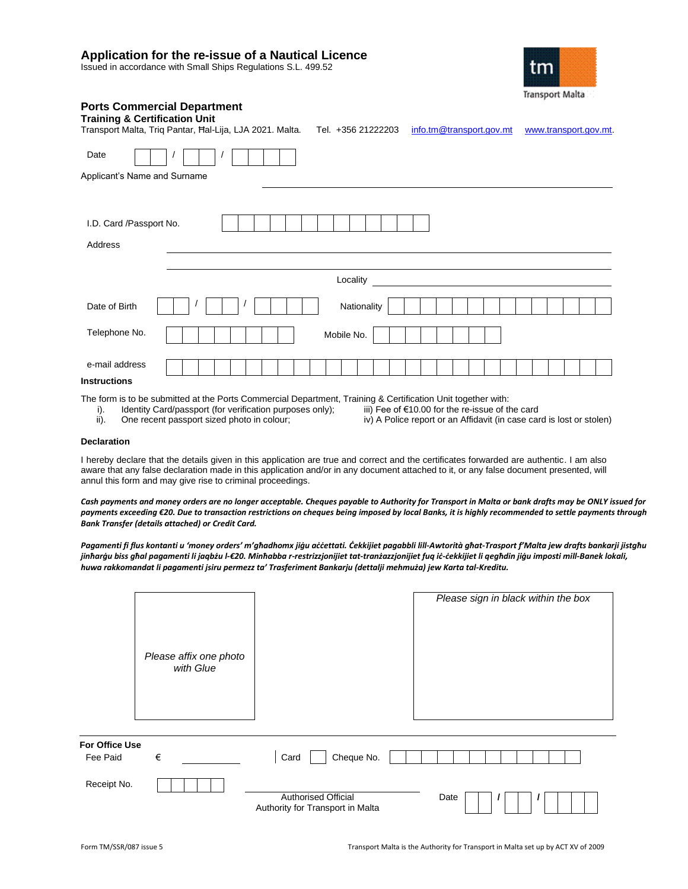# **Application for the re-issue of a Nautical Licence**

Issued in accordance with Small Ships Regulations S.L. 499.52



| <b>Ports Commercial Department</b><br><b>Training &amp; Certification Unit</b><br>Transport Malta, Trig Pantar, Hal-Lija, LJA 2021. Malta. | Tel. +356 21222203 | info.tm@transport.gov.mt | www.transport.gov.mt. |
|--------------------------------------------------------------------------------------------------------------------------------------------|--------------------|--------------------------|-----------------------|
| Date                                                                                                                                       |                    |                          |                       |
| Applicant's Name and Surname                                                                                                               |                    |                          |                       |
| I.D. Card /Passport No.                                                                                                                    |                    |                          |                       |
| Address                                                                                                                                    |                    |                          |                       |

|                | Locality    |
|----------------|-------------|
| Date of Birth  | Nationality |
| Telephone No.  | Mobile No.  |
| e-mail address |             |

## **Instructions**

The form is to be submitted at the Ports Commercial Department, Training & Certification Unit together with:<br>i). Identity Card/passport (for verification purposes only); iii) Fee of €10.00 for the re-issue of the card

- i). Identity Card/passport (for verification purposes only); ii). One recent passport sized photo in colour;
- ii). One recent passport sized photo in colour; iv) A Police report or an Affidavit (in case card is lost or stolen)
- -
- 

#### **Declaration**

I hereby declare that the details given in this application are true and correct and the certificates forwarded are authentic. I am also aware that any false declaration made in this application and/or in any document attached to it, or any false document presented, will annul this form and may give rise to criminal proceedings.

*Cash payments and money orders are no longer acceptable. Cheques payable to Authority for Transport in Malta or bank drafts may be ONLY issued for payments exceeding €20. Due to transaction restrictions on cheques being imposed by local Banks, it is highly recommended to settle payments through Bank Transfer (details attached) or Credit Card.*

*Pagamenti fi flus kontanti u 'money orders' m'għadhomx jiġu aċċettati. Ċekkijiet pagabbli lill-Awtorità għat-Trasport f'Malta jew drafts bankarji jistgħu jinħarġu biss għal pagamenti li jaqbżu l-€20. Minħabba r-restrizzjonijiet tat-tranżazzjonijiet fuq iċ-ċekkijiet li qegħdin jiġu imposti mill-Banek lokali, huwa rakkomandat li pagamenti jsiru permezz ta' Trasferiment Bankarju (dettalji mehmuża) jew Karta tal-Kreditu.*

|                                   | Please affix one photo<br>with Glue |                                                                | Please sign in black within the box |
|-----------------------------------|-------------------------------------|----------------------------------------------------------------|-------------------------------------|
| <b>For Office Use</b><br>Fee Paid | €                                   | Cheque No.<br>Card                                             |                                     |
| Receipt No.                       |                                     | <b>Authorised Official</b><br>Authority for Transport in Malta | Date                                |